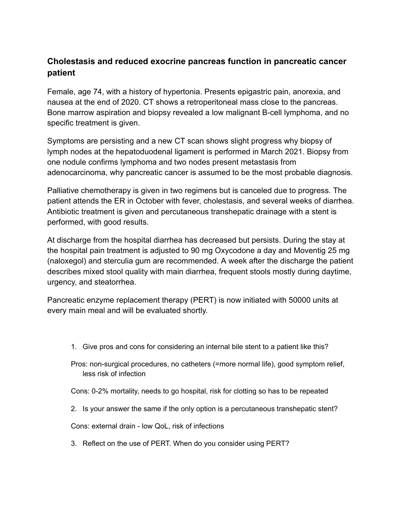## **Cholestasis and reduced exocrine pancreas function in pancreatic cancer patient**

Female, age 74, with a history of hypertonia. Presents epigastric pain, anorexia, and nausea at the end of 2020. CT shows a retroperitoneal mass close to the pancreas. Bone marrow aspiration and biopsy revealed a low malignant B-cell lymphoma, and no specific treatment is given.

Symptoms are persisting and a new CT scan shows slight progress why biopsy of lymph nodes at the hepatoduodenal ligament is performed in March 2021. Biopsy from one nodule confirms lymphoma and two nodes present metastasis from adenocarcinoma, why pancreatic cancer is assumed to be the most probable diagnosis.

Palliative chemotherapy is given in two regimens but is canceled due to progress. The patient attends the ER in October with fever, cholestasis, and several weeks of diarrhea. Antibiotic treatment is given and percutaneous transhepatic drainage with a stent is performed, with good results.

At discharge from the hospital diarrhea has decreased but persists. During the stay at the hospital pain treatment is adjusted to 90 mg Oxycodone a day and Moventig 25 mg (naloxegol) and sterculia gum are recommended. A week after the discharge the patient describes mixed stool quality with main diarrhea, frequent stools mostly during daytime, urgency, and steatorrhea.

Pancreatic enzyme replacement therapy (PERT) is now initiated with 50000 units at every main meal and will be evaluated shortly.

- 1. Give pros and cons for considering an internal bile stent to a patient like this?
- Pros: non-surgical procedures, no catheters (=more normal life), good symptom relief, less risk of infection
- Cons: 0-2% mortality, needs to go hospital, risk for clotting so has to be repeated
- 2. Is your answer the same if the only option is a percutaneous transhepatic stent?

Cons: external drain - low QoL, risk of infections

3. Reflect on the use of PERT. When do you consider using PERT?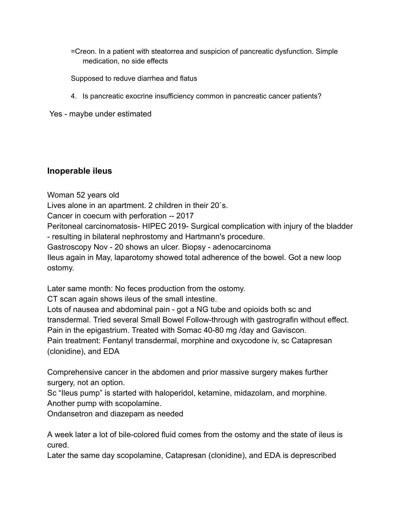=Creon. In a patient with steatorrea and suspicion of pancreatic dysfunction. Simple medication, no side effects

Supposed to reduve diarrhea and flatus

4. Is pancreatic exocrine insufficiency common in pancreatic cancer patients?

Yes - maybe under estimated

## **Inoperable ileus**

Woman 52 years old Lives alone in an apartment. 2 children in their 20`s. Cancer in coecum with perforation -- 2017 Peritoneal carcinomatosis- HIPEC 2019- Surgical complication with injury of the bladder - resulting in bilateral nephrostomy and Hartmann's procedure. Gastroscopy Nov - 20 shows an ulcer. Biopsy - adenocarcinoma Ileus again in May, laparotomy showed total adherence of the bowel. Got a new loop ostomy.

Later same month: No feces production from the ostomy.

CT scan again shows ileus of the small intestine.

Lots of nausea and abdominal pain - got a NG tube and opioids both sc and transdermal. Tried several Small Bowel Follow-through with gastrografin without effect. Pain in the epigastrium. Treated with Somac 40-80 mg /day and Gaviscon. Pain treatment: Fentanyl transdermal, morphine and oxycodone iv, sc Catapresan (clonidine), and EDA

Comprehensive cancer in the abdomen and prior massive surgery makes further surgery, not an option.

Sc "Ileus pump" is started with haloperidol, ketamine, midazolam, and morphine. Another pump with scopolamine.

Ondansetron and diazepam as needed

A week later a lot of bile-colored fluid comes from the ostomy and the state of ileus is cured.

Later the same day scopolamine, Catapresan (clonidine), and EDA is deprescribed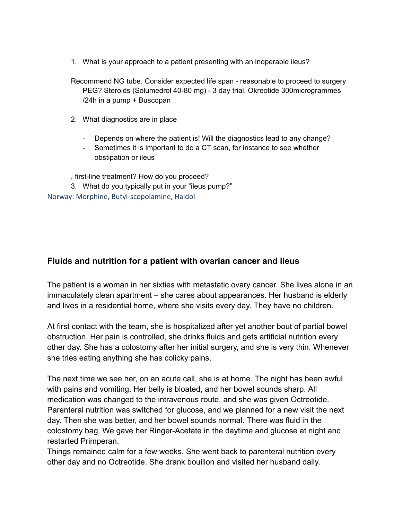1. What is your approach to a patient presenting with an inoperable ileus?

Recommend NG tube. Consider expected life span - reasonable to proceed to surgery PEG? Steroids (Solumedrol 40-80 mg) - 3 day trial. Okreotide 300microgrammes /24h in a pump + Buscopan

- 2. What diagnostics are in place
	- Depends on where the patient is! Will the diagnostics lead to any change?
	- Sometimes it is important to do a CT scan, for instance to see whether obstipation or ileus

, first-line treatment? How do you proceed?

3. What do you typically put in your "ileus pump?" Norway: Morphine, Butyl-scopolamine, Haldol

## **Fluids and nutrition for a patient with ovarian cancer and ileus**

The patient is a woman in her sixties with metastatic ovary cancer. She lives alone in an immaculately clean apartment – she cares about appearances. Her husband is elderly and lives in a residential home, where she visits every day. They have no children.

At first contact with the team, she is hospitalized after yet another bout of partial bowel obstruction. Her pain is controlled, she drinks fluids and gets artificial nutrition every other day. She has a colostomy after her initial surgery, and she is very thin. Whenever she tries eating anything she has colicky pains.

The next time we see her, on an acute call, she is at home. The night has been awful with pains and vomiting. Her belly is bloated, and her bowel sounds sharp. All medication was changed to the intravenous route, and she was given Octreotide. Parenteral nutrition was switched for glucose, and we planned for a new visit the next day. Then she was better, and her bowel sounds normal. There was fluid in the colostomy bag. We gave her Ringer-Acetate in the daytime and glucose at night and restarted Primperan.

Things remained calm for a few weeks. She went back to parenteral nutrition every other day and no Octreotide. She drank bouillon and visited her husband daily.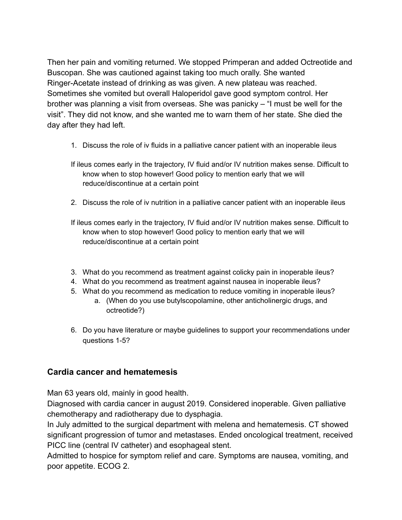Then her pain and vomiting returned. We stopped Primperan and added Octreotide and Buscopan. She was cautioned against taking too much orally. She wanted Ringer-Acetate instead of drinking as was given. A new plateau was reached. Sometimes she vomited but overall Haloperidol gave good symptom control. Her brother was planning a visit from overseas. She was panicky – "I must be well for the visit". They did not know, and she wanted me to warn them of her state. She died the day after they had left.

- 1. Discuss the role of iv fluids in a palliative cancer patient with an inoperable ileus
- If ileus comes early in the trajectory, IV fluid and/or IV nutrition makes sense. Difficult to know when to stop however! Good policy to mention early that we will reduce/discontinue at a certain point
- 2. Discuss the role of iv nutrition in a palliative cancer patient with an inoperable ileus

If ileus comes early in the trajectory, IV fluid and/or IV nutrition makes sense. Difficult to know when to stop however! Good policy to mention early that we will reduce/discontinue at a certain point

- 3. What do you recommend as treatment against colicky pain in inoperable ileus?
- 4. What do you recommend as treatment against nausea in inoperable ileus?
- 5. What do you recommend as medication to reduce vomiting in inoperable ileus?
	- a. (When do you use butylscopolamine, other anticholinergic drugs, and octreotide?)
- 6. Do you have literature or maybe guidelines to support your recommendations under questions 1-5?

## **Cardia cancer and hematemesis**

Man 63 years old, mainly in good health.

Diagnosed with cardia cancer in august 2019. Considered inoperable. Given palliative chemotherapy and radiotherapy due to dysphagia.

In July admitted to the surgical department with melena and hematemesis. CT showed significant progression of tumor and metastases. Ended oncological treatment, received PICC line (central IV catheter) and esophageal stent.

Admitted to hospice for symptom relief and care. Symptoms are nausea, vomiting, and poor appetite. ECOG 2.